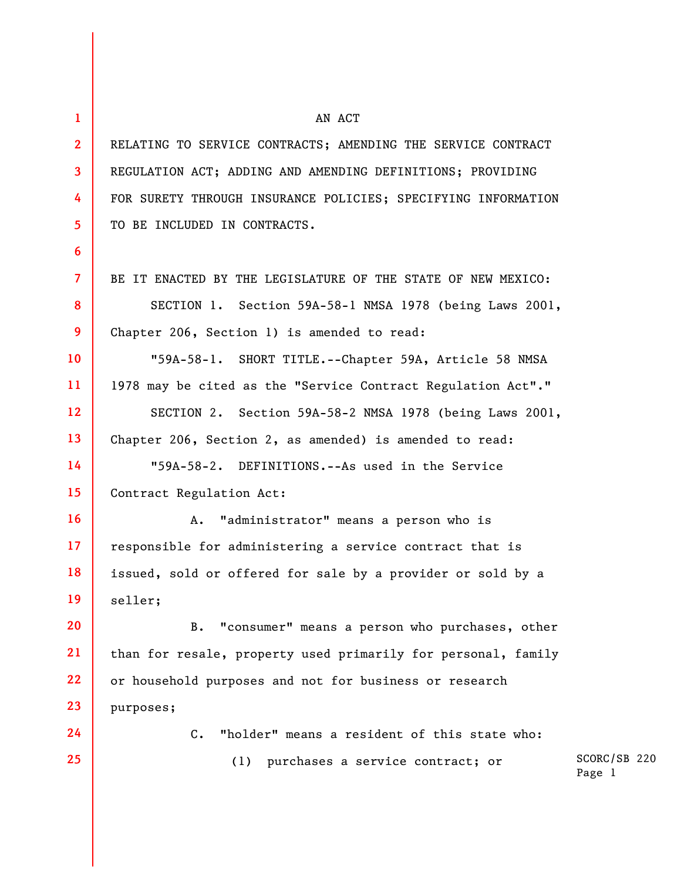**1 2 3 4 5 6 7 8 9 10 11 12 13 14 15 16 17 18 19 20 21 22 23 24 25**  AN ACT RELATING TO SERVICE CONTRACTS; AMENDING THE SERVICE CONTRACT REGULATION ACT; ADDING AND AMENDING DEFINITIONS; PROVIDING FOR SURETY THROUGH INSURANCE POLICIES; SPECIFYING INFORMATION TO BE INCLUDED IN CONTRACTS. BE IT ENACTED BY THE LEGISLATURE OF THE STATE OF NEW MEXICO: SECTION 1. Section 59A-58-1 NMSA 1978 (being Laws 2001, Chapter 206, Section 1) is amended to read: "59A-58-1. SHORT TITLE.--Chapter 59A, Article 58 NMSA 1978 may be cited as the "Service Contract Regulation Act"." SECTION 2. Section 59A-58-2 NMSA 1978 (being Laws 2001, Chapter 206, Section 2, as amended) is amended to read: "59A-58-2. DEFINITIONS.--As used in the Service Contract Regulation Act: A. "administrator" means a person who is responsible for administering a service contract that is issued, sold or offered for sale by a provider or sold by a seller; B. "consumer" means a person who purchases, other than for resale, property used primarily for personal, family or household purposes and not for business or research purposes; C. "holder" means a resident of this state who: (1) purchases a service contract; or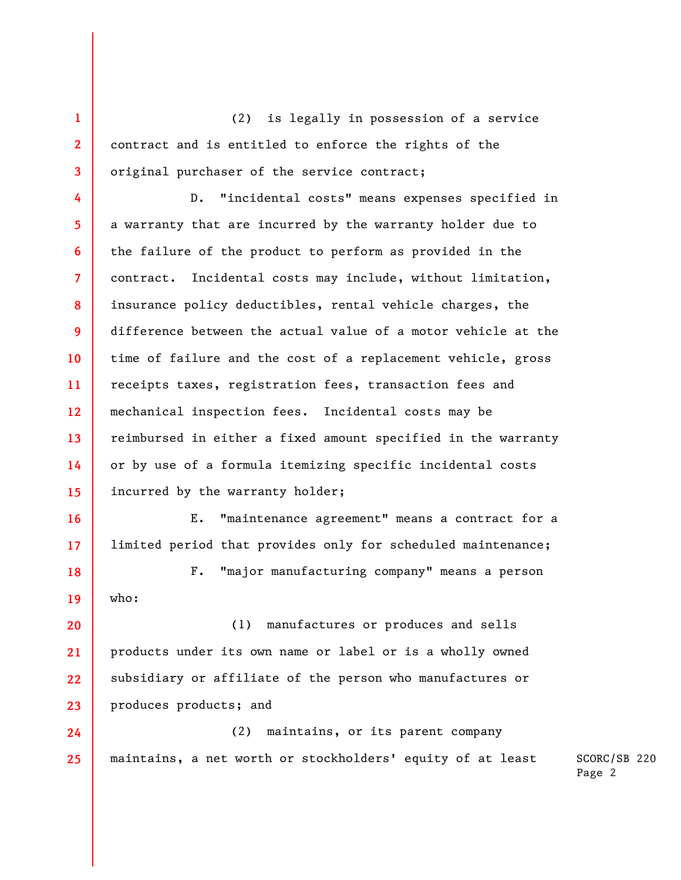(2) is legally in possession of a service contract and is entitled to enforce the rights of the original purchaser of the service contract;

**1** 

**2** 

**3** 

**16** 

**17** 

**4 5 6 7 8 9 10 11 12 13 14 15**  D. "incidental costs" means expenses specified in a warranty that are incurred by the warranty holder due to the failure of the product to perform as provided in the contract. Incidental costs may include, without limitation, insurance policy deductibles, rental vehicle charges, the difference between the actual value of a motor vehicle at the time of failure and the cost of a replacement vehicle, gross receipts taxes, registration fees, transaction fees and mechanical inspection fees. Incidental costs may be reimbursed in either a fixed amount specified in the warranty or by use of a formula itemizing specific incidental costs incurred by the warranty holder;

E. "maintenance agreement" means a contract for a limited period that provides only for scheduled maintenance;

**18 19**  F. "major manufacturing company" means a person who:

**20 21 22 23**  (1) manufactures or produces and sells products under its own name or label or is a wholly owned subsidiary or affiliate of the person who manufactures or produces products; and

**24 25**  (2) maintains, or its parent company maintains, a net worth or stockholders' equity of at least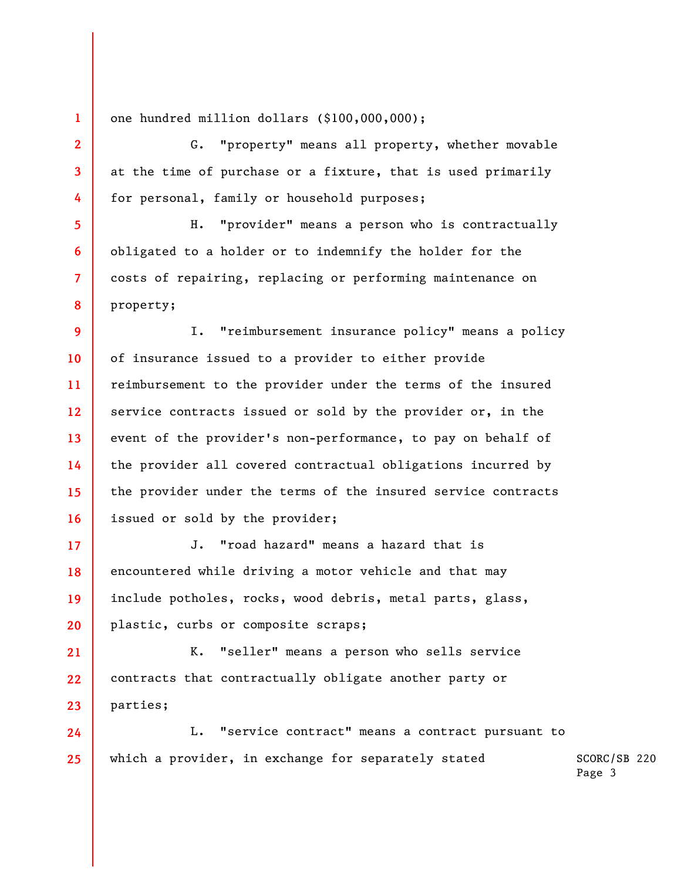one hundred million dollars (\$100,000,000);

**1** 

**2** 

**3** 

**4** 

**5** 

**6** 

**7** 

**8** 

G. "property" means all property, whether movable at the time of purchase or a fixture, that is used primarily for personal, family or household purposes;

H. "provider" means a person who is contractually obligated to a holder or to indemnify the holder for the costs of repairing, replacing or performing maintenance on property;

**9 10 11 12 13 14 15 16**  I. "reimbursement insurance policy" means a policy of insurance issued to a provider to either provide reimbursement to the provider under the terms of the insured service contracts issued or sold by the provider or, in the event of the provider's non-performance, to pay on behalf of the provider all covered contractual obligations incurred by the provider under the terms of the insured service contracts issued or sold by the provider;

**17 18 19 20**  J. "road hazard" means a hazard that is encountered while driving a motor vehicle and that may include potholes, rocks, wood debris, metal parts, glass, plastic, curbs or composite scraps;

**21 22 23**  K. "seller" means a person who sells service contracts that contractually obligate another party or parties;

SCORC/SB 220 **24 25**  L. "service contract" means a contract pursuant to which a provider, in exchange for separately stated

Page 3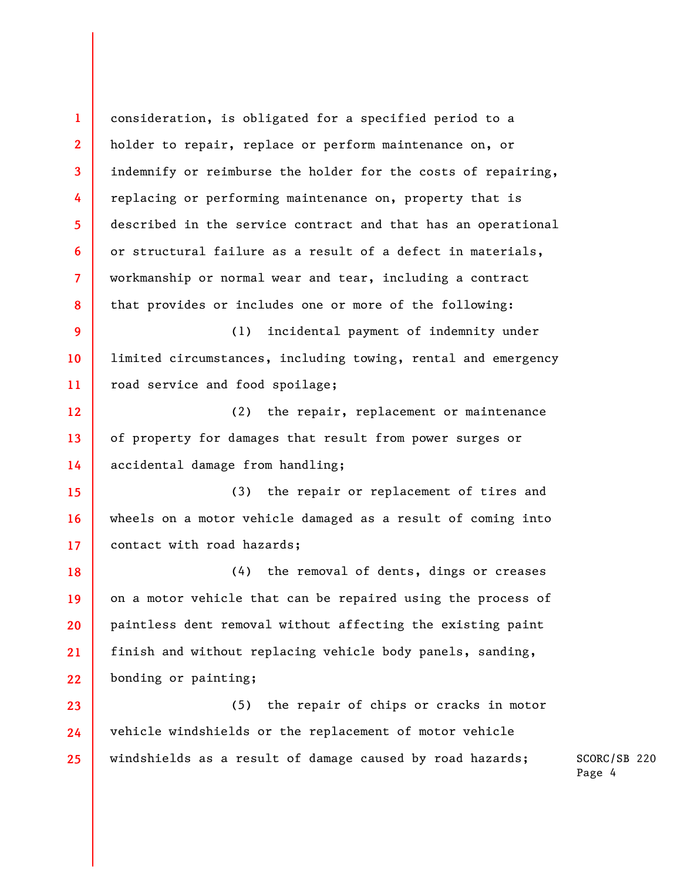**1 2 3 4 5 6 7 8 9 10 11 12 13 14 15 16 17 18 19 20 21 22 23 24 25**  consideration, is obligated for a specified period to a holder to repair, replace or perform maintenance on, or indemnify or reimburse the holder for the costs of repairing, replacing or performing maintenance on, property that is described in the service contract and that has an operational or structural failure as a result of a defect in materials, workmanship or normal wear and tear, including a contract that provides or includes one or more of the following: (1) incidental payment of indemnity under limited circumstances, including towing, rental and emergency road service and food spoilage; (2) the repair, replacement or maintenance of property for damages that result from power surges or accidental damage from handling; (3) the repair or replacement of tires and wheels on a motor vehicle damaged as a result of coming into contact with road hazards; (4) the removal of dents, dings or creases on a motor vehicle that can be repaired using the process of paintless dent removal without affecting the existing paint finish and without replacing vehicle body panels, sanding, bonding or painting; (5) the repair of chips or cracks in motor vehicle windshields or the replacement of motor vehicle windshields as a result of damage caused by road hazards;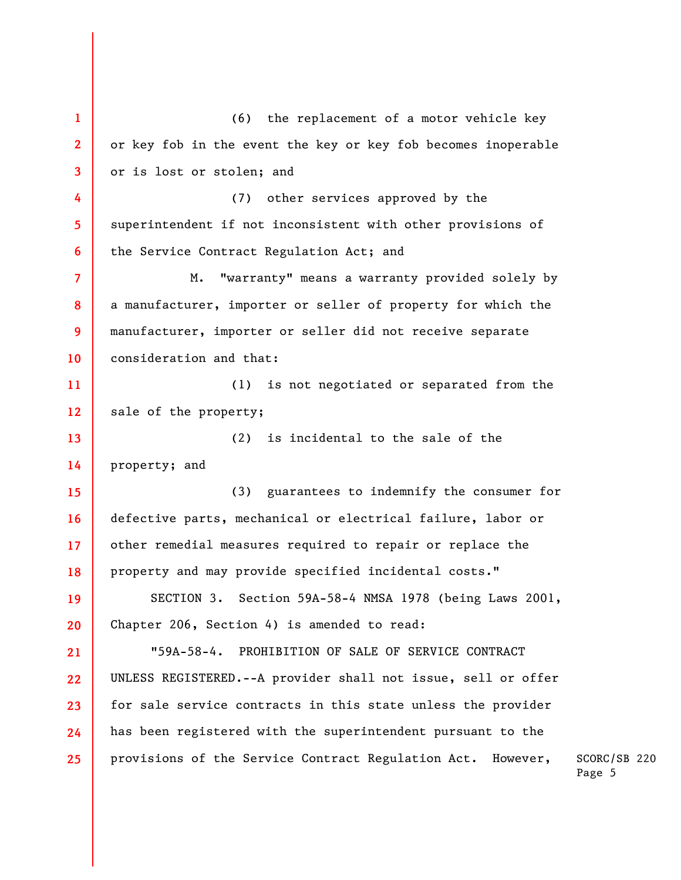SCORC/SB 220 Page 5 **1 2 3 4 5 6 7 8 9 10 11 12 13 14 15 16 17 18 19 20 21 22 23 24 25**  (6) the replacement of a motor vehicle key or key fob in the event the key or key fob becomes inoperable or is lost or stolen; and (7) other services approved by the superintendent if not inconsistent with other provisions of the Service Contract Regulation Act; and M. "warranty" means a warranty provided solely by a manufacturer, importer or seller of property for which the manufacturer, importer or seller did not receive separate consideration and that: (1) is not negotiated or separated from the sale of the property; (2) is incidental to the sale of the property; and (3) guarantees to indemnify the consumer for defective parts, mechanical or electrical failure, labor or other remedial measures required to repair or replace the property and may provide specified incidental costs." SECTION 3. Section 59A-58-4 NMSA 1978 (being Laws 2001, Chapter 206, Section 4) is amended to read: "59A-58-4. PROHIBITION OF SALE OF SERVICE CONTRACT UNLESS REGISTERED.--A provider shall not issue, sell or offer for sale service contracts in this state unless the provider has been registered with the superintendent pursuant to the provisions of the Service Contract Regulation Act. However,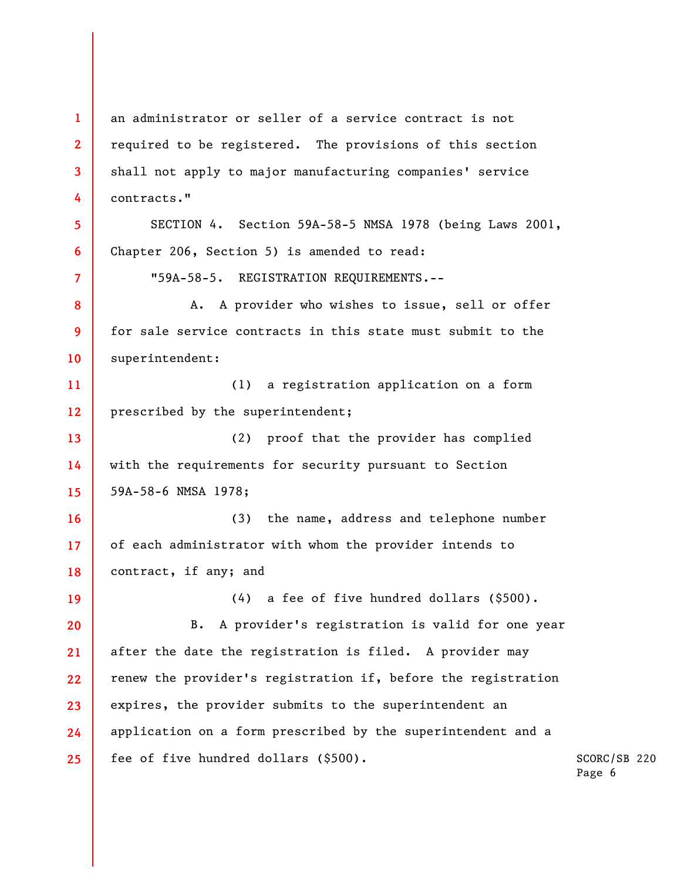**1 2 3 4 5 6 7 8 9 10 11 12 13 14 15 16 17 18 19 20 21 22 23 24 25**  an administrator or seller of a service contract is not required to be registered. The provisions of this section shall not apply to major manufacturing companies' service contracts." SECTION 4. Section 59A-58-5 NMSA 1978 (being Laws 2001, Chapter 206, Section 5) is amended to read: "59A-58-5. REGISTRATION REQUIREMENTS.-- A. A provider who wishes to issue, sell or offer for sale service contracts in this state must submit to the superintendent: (1) a registration application on a form prescribed by the superintendent; (2) proof that the provider has complied with the requirements for security pursuant to Section 59A-58-6 NMSA 1978; (3) the name, address and telephone number of each administrator with whom the provider intends to contract, if any; and (4) a fee of five hundred dollars (\$500). B. A provider's registration is valid for one year after the date the registration is filed. A provider may renew the provider's registration if, before the registration expires, the provider submits to the superintendent an application on a form prescribed by the superintendent and a fee of five hundred dollars (\$500).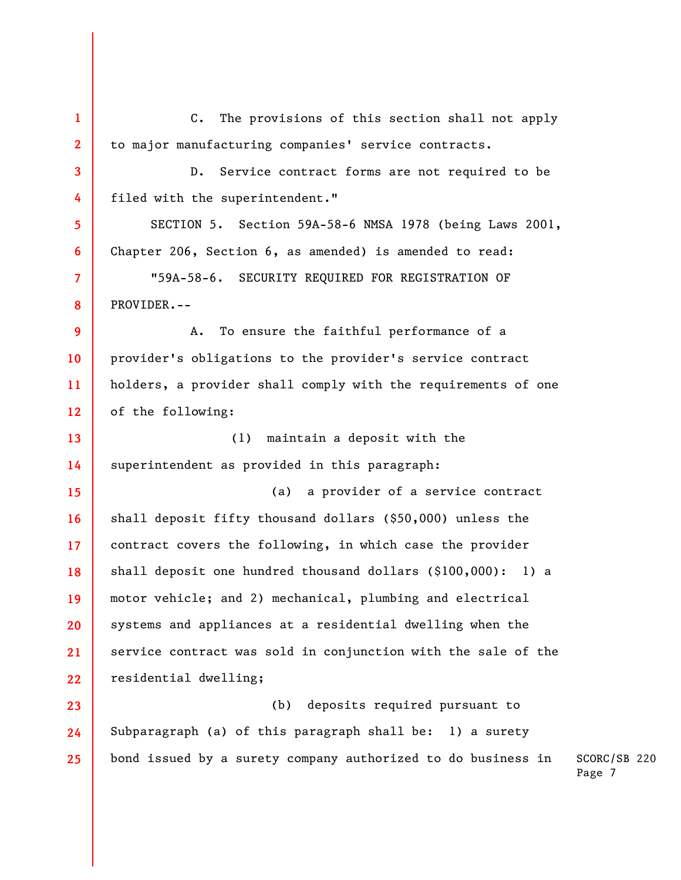**1 2 3 4 5 6 7 8 9 10 11 12 13 14 15 16 17 18 19 20 21 22 23 24 25**  C. The provisions of this section shall not apply to major manufacturing companies' service contracts. D. Service contract forms are not required to be filed with the superintendent." SECTION 5. Section 59A-58-6 NMSA 1978 (being Laws 2001, Chapter 206, Section 6, as amended) is amended to read: "59A-58-6. SECURITY REQUIRED FOR REGISTRATION OF PROVIDER.-- A. To ensure the faithful performance of a provider's obligations to the provider's service contract holders, a provider shall comply with the requirements of one of the following: (1) maintain a deposit with the superintendent as provided in this paragraph: (a) a provider of a service contract shall deposit fifty thousand dollars (\$50,000) unless the contract covers the following, in which case the provider shall deposit one hundred thousand dollars (\$100,000): 1) a motor vehicle; and 2) mechanical, plumbing and electrical systems and appliances at a residential dwelling when the service contract was sold in conjunction with the sale of the residential dwelling; (b) deposits required pursuant to Subparagraph (a) of this paragraph shall be: 1) a surety bond issued by a surety company authorized to do business in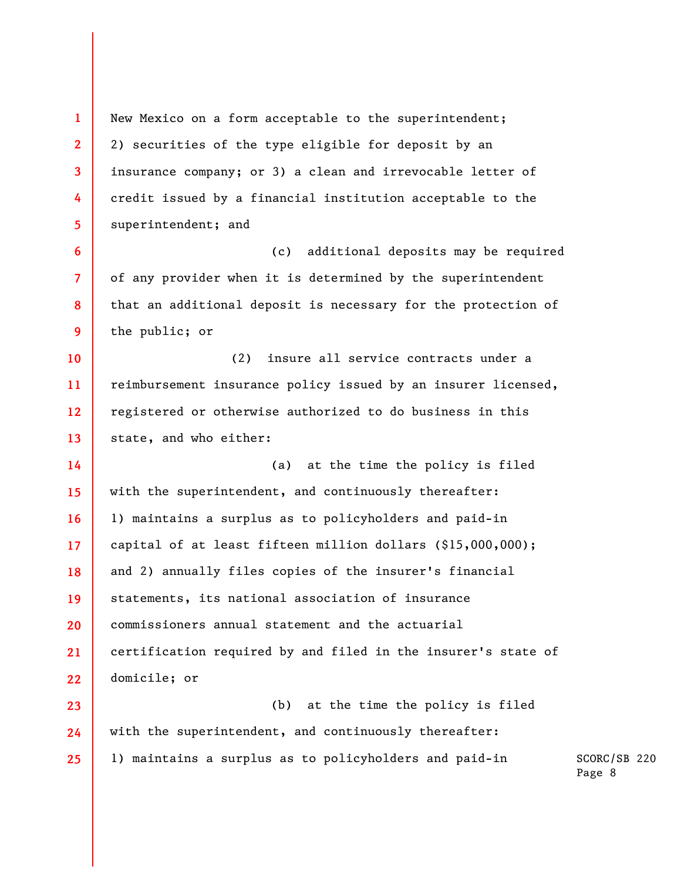**1 2 3 4 5 6 7 8 9 10 11 12 13 14 15 16 17 18 19 20 21 22 23 24 25**  New Mexico on a form acceptable to the superintendent; 2) securities of the type eligible for deposit by an insurance company; or 3) a clean and irrevocable letter of credit issued by a financial institution acceptable to the superintendent; and (c) additional deposits may be required of any provider when it is determined by the superintendent that an additional deposit is necessary for the protection of the public; or (2) insure all service contracts under a reimbursement insurance policy issued by an insurer licensed, registered or otherwise authorized to do business in this state, and who either: (a) at the time the policy is filed with the superintendent, and continuously thereafter: 1) maintains a surplus as to policyholders and paid-in capital of at least fifteen million dollars (\$15,000,000); and 2) annually files copies of the insurer's financial statements, its national association of insurance commissioners annual statement and the actuarial certification required by and filed in the insurer's state of domicile; or (b) at the time the policy is filed with the superintendent, and continuously thereafter: 1) maintains a surplus as to policyholders and paid-in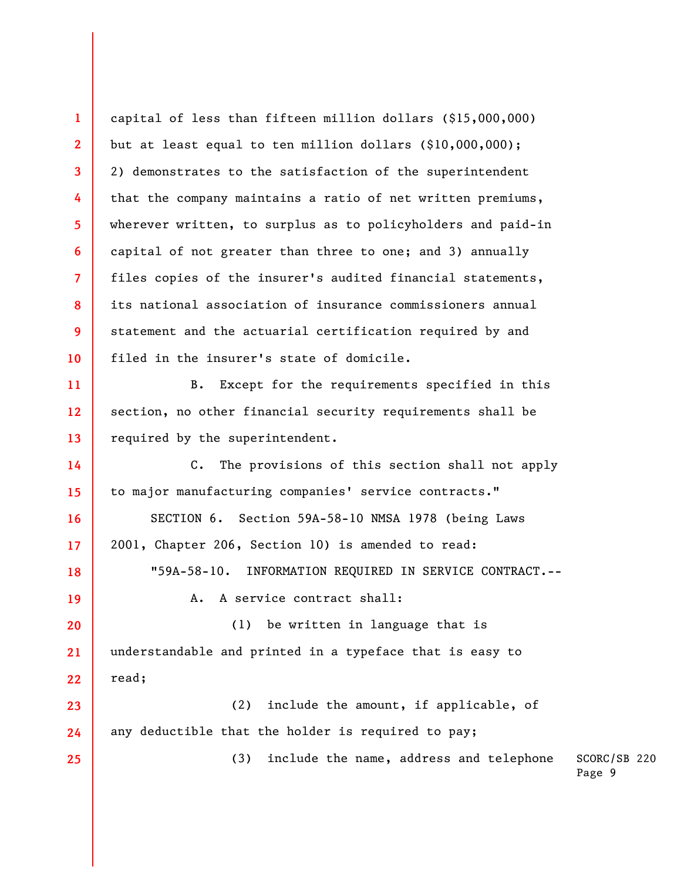SCORC/SB 220 Page 9 **1 2 3 4 5 6 7 8 9 10 11 12 13 14 15 16 17 18 19 20 21 22 23 24 25**  capital of less than fifteen million dollars (\$15,000,000) but at least equal to ten million dollars (\$10,000,000); 2) demonstrates to the satisfaction of the superintendent that the company maintains a ratio of net written premiums, wherever written, to surplus as to policyholders and paid-in capital of not greater than three to one; and 3) annually files copies of the insurer's audited financial statements, its national association of insurance commissioners annual statement and the actuarial certification required by and filed in the insurer's state of domicile. B. Except for the requirements specified in this section, no other financial security requirements shall be required by the superintendent. C. The provisions of this section shall not apply to major manufacturing companies' service contracts." SECTION 6. Section 59A-58-10 NMSA 1978 (being Laws 2001, Chapter 206, Section 10) is amended to read: "59A-58-10. INFORMATION REQUIRED IN SERVICE CONTRACT.-- A. A service contract shall: (1) be written in language that is understandable and printed in a typeface that is easy to read; (2) include the amount, if applicable, of any deductible that the holder is required to pay; (3) include the name, address and telephone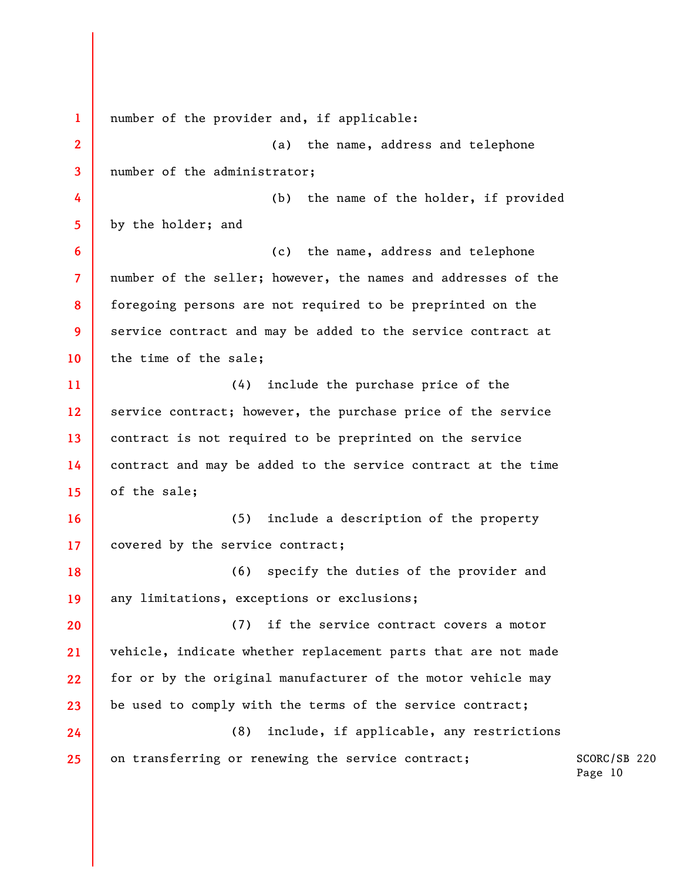SCORC/SB 220 Page 10 **1 2 3 4 5 6 7 8 9 10 11 12 13 14 15 16 17 18 19 20 21 22 23 24 25**  number of the provider and, if applicable: (a) the name, address and telephone number of the administrator; (b) the name of the holder, if provided by the holder; and (c) the name, address and telephone number of the seller; however, the names and addresses of the foregoing persons are not required to be preprinted on the service contract and may be added to the service contract at the time of the sale; (4) include the purchase price of the service contract; however, the purchase price of the service contract is not required to be preprinted on the service contract and may be added to the service contract at the time of the sale; (5) include a description of the property covered by the service contract; (6) specify the duties of the provider and any limitations, exceptions or exclusions; (7) if the service contract covers a motor vehicle, indicate whether replacement parts that are not made for or by the original manufacturer of the motor vehicle may be used to comply with the terms of the service contract; (8) include, if applicable, any restrictions on transferring or renewing the service contract;